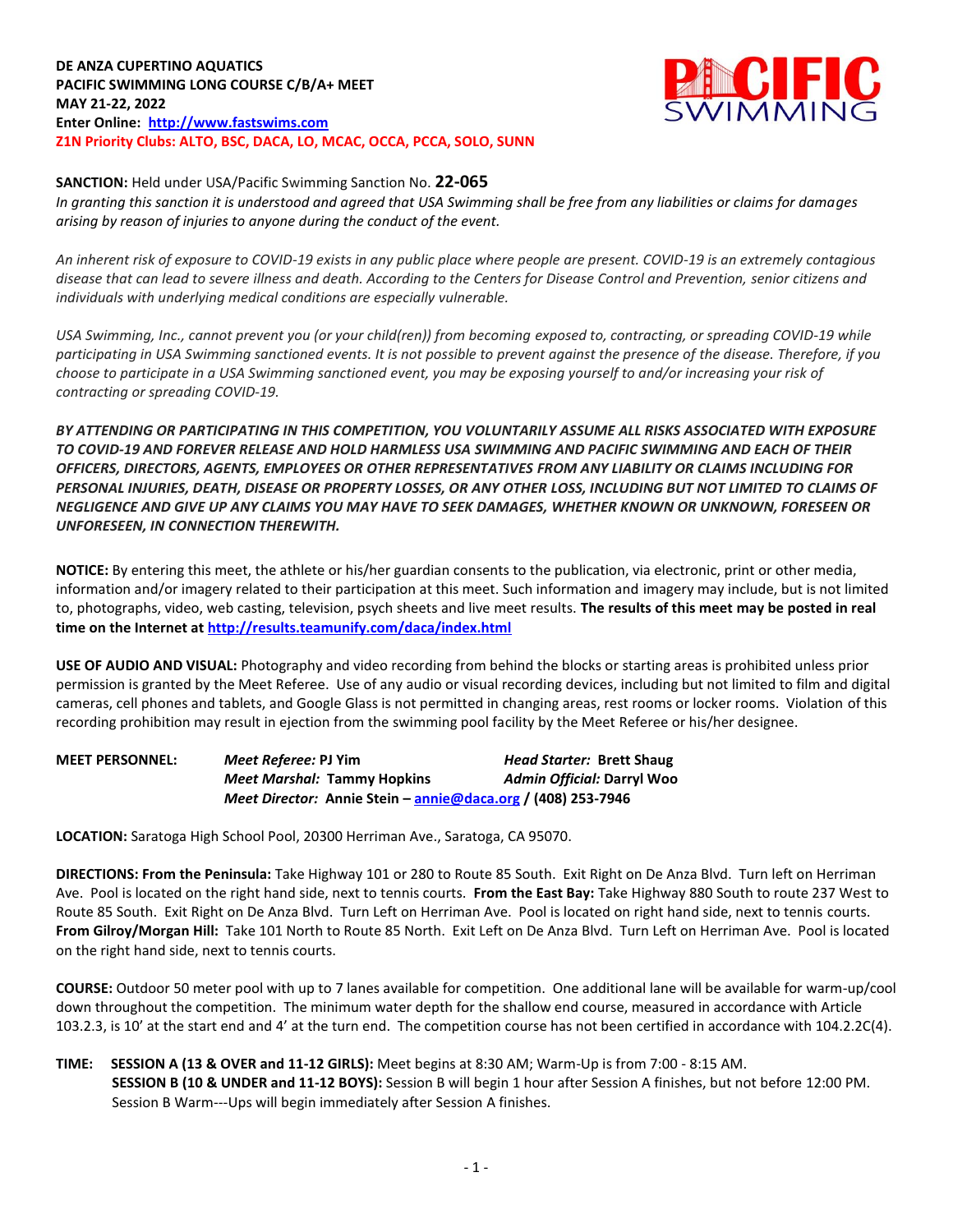**DE ANZA CUPERTINO AQUATICS PACIFIC SWIMMING LONG COURSE C/B/A+ MEET MAY 21-22, 2022 Enter Online: [http://www.fastswims.com](http://www.fastswims.com/) Z1N Priority Clubs: ALTO, BSC, DACA, LO, MCAC, OCCA, PCCA, SOLO, SUNN**



#### **SANCTION:** Held under USA/Pacific Swimming Sanction No. **22-065**

*In granting this sanction it is understood and agreed that USA Swimming shall be free from any liabilities or claims for damages arising by reason of injuries to anyone during the conduct of the event.*

*An inherent risk of exposure to COVID-19 exists in any public place where people are present. COVID-19 is an extremely contagious disease that can lead to severe illness and death. According to the Centers for Disease Control and Prevention, senior citizens and individuals with underlying medical conditions are especially vulnerable.*

*USA Swimming, Inc., cannot prevent you (or your child(ren)) from becoming exposed to, contracting, or spreading COVID-19 while participating in USA Swimming sanctioned events. It is not possible to prevent against the presence of the disease. Therefore, if you choose to participate in a USA Swimming sanctioned event, you may be exposing yourself to and/or increasing your risk of contracting or spreading COVID-19.*

*BY ATTENDING OR PARTICIPATING IN THIS COMPETITION, YOU VOLUNTARILY ASSUME ALL RISKS ASSOCIATED WITH EXPOSURE TO COVID-19 AND FOREVER RELEASE AND HOLD HARMLESS USA SWIMMING AND PACIFIC SWIMMING AND EACH OF THEIR OFFICERS, DIRECTORS, AGENTS, EMPLOYEES OR OTHER REPRESENTATIVES FROM ANY LIABILITY OR CLAIMS INCLUDING FOR PERSONAL INJURIES, DEATH, DISEASE OR PROPERTY LOSSES, OR ANY OTHER LOSS, INCLUDING BUT NOT LIMITED TO CLAIMS OF NEGLIGENCE AND GIVE UP ANY CLAIMS YOU MAY HAVE TO SEEK DAMAGES, WHETHER KNOWN OR UNKNOWN, FORESEEN OR UNFORESEEN, IN CONNECTION THEREWITH.*

**NOTICE:** By entering this meet, the athlete or his/her guardian consents to the publication, via electronic, print or other media, information and/or imagery related to their participation at this meet. Such information and imagery may include, but is not limited to, photographs, video, web casting, television, psych sheets and live meet results. **The results of this meet may be posted in real time on the Internet a[t http://results.teamunify.com/daca/index.html](http://results.teamunify.com/daca/index.html)**

**USE OF AUDIO AND VISUAL:** Photography and video recording from behind the blocks or starting areas is prohibited unless prior permission is granted by the Meet Referee. Use of any audio or visual recording devices, including but not limited to film and digital cameras, cell phones and tablets, and Google Glass is not permitted in changing areas, rest rooms or locker rooms. Violation of this recording prohibition may result in ejection from the swimming pool facility by the Meet Referee or his/her designee.

| <b>MEET PERSONNEL:</b> | Meet Referee: PJ Yim                                                  | <b>Head Starter: Brett Shaug</b> |
|------------------------|-----------------------------------------------------------------------|----------------------------------|
|                        | <b>Meet Marshal: Tammy Hopkins</b>                                    | Admin Official: Darryl Woo       |
|                        | <i>Meet Director:</i> Annie Stein – $annie@daca.org$ / (408) 253-7946 |                                  |

**LOCATION:** Saratoga High School Pool, 20300 Herriman Ave., Saratoga, CA 95070.

**DIRECTIONS: From the Peninsula:** Take Highway 101 or 280 to Route 85 South. Exit Right on De Anza Blvd. Turn left on Herriman Ave. Pool is located on the right hand side, next to tennis courts. **From the East Bay:** Take Highway 880 South to route 237 West to Route 85 South. Exit Right on De Anza Blvd. Turn Left on Herriman Ave. Pool is located on right hand side, next to tennis courts. **From Gilroy/Morgan Hill:** Take 101 North to Route 85 North. Exit Left on De Anza Blvd. Turn Left on Herriman Ave. Pool is located on the right hand side, next to tennis courts.

**COURSE:** Outdoor 50 meter pool with up to 7 lanes available for competition. One additional lane will be available for warm-up/cool down throughout the competition. The minimum water depth for the shallow end course, measured in accordance with Article 103.2.3, is 10' at the start end and 4' at the turn end. The competition course has not been certified in accordance with 104.2.2C(4).

# **TIME: SESSION A (13 & OVER and 11-12 GIRLS):** Meet begins at 8:30 AM; Warm-Up is from 7:00 - 8:15 AM. **SESSION B (10 & UNDER and 11-12 BOYS):** Session B will begin 1 hour after Session A finishes, but not before 12:00 PM. Session B Warm---Ups will begin immediately after Session A finishes.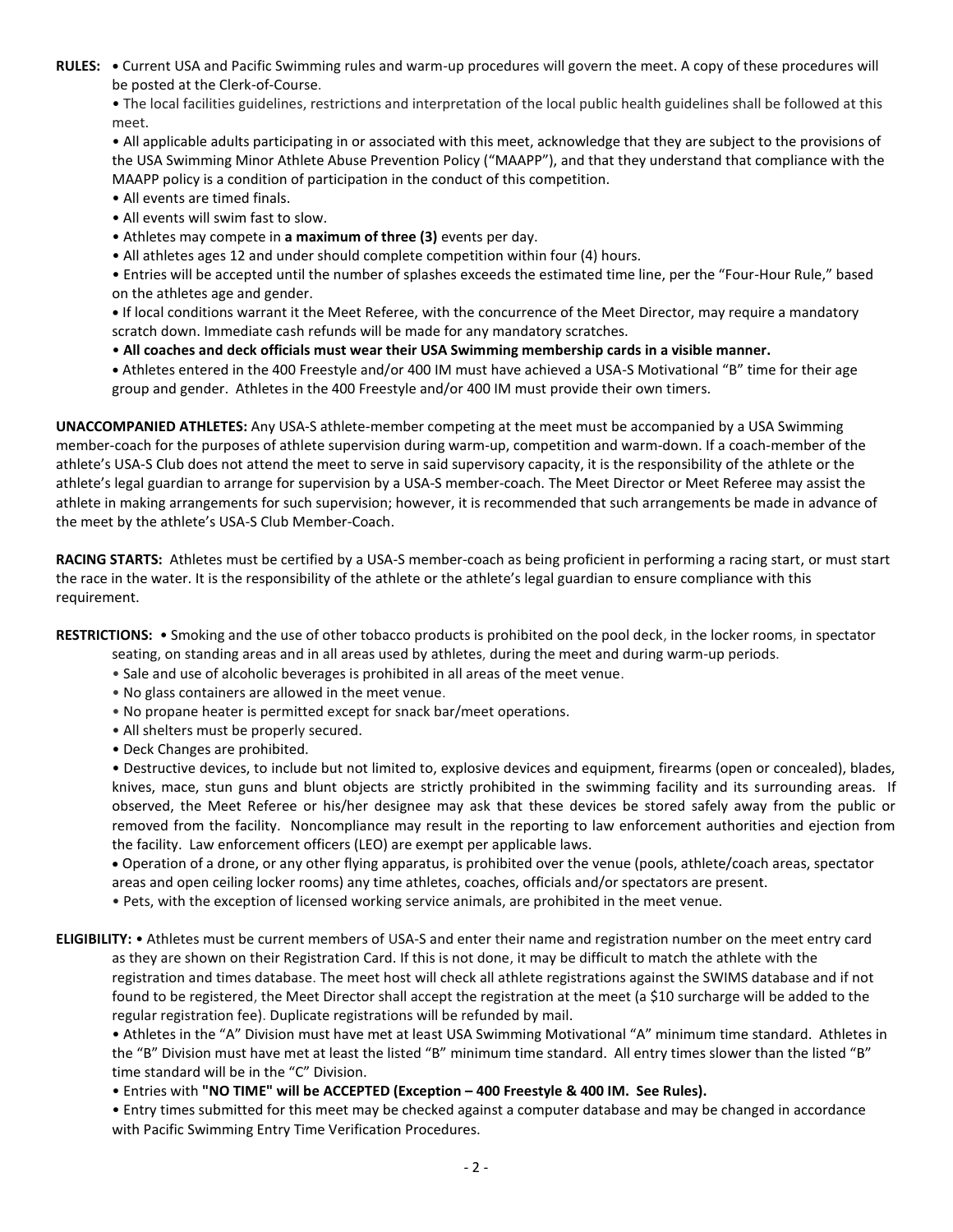**RULES: •** Current USA and Pacific Swimming rules and warm-up procedures will govern the meet. A copy of these procedures will be posted at the Clerk-of-Course.

• The local facilities guidelines, restrictions and interpretation of the local public health guidelines shall be followed at this meet.

• All applicable adults participating in or associated with this meet, acknowledge that they are subject to the provisions of the USA Swimming Minor Athlete Abuse Prevention Policy ("MAAPP"), and that they understand that compliance with the MAAPP policy is a condition of participation in the conduct of this competition.

- All events are timed finals.
- All events will swim fast to slow.
- Athletes may compete in **a maximum of three (3)** events per day.
- All athletes ages 12 and under should complete competition within four (4) hours.

• Entries will be accepted until the number of splashes exceeds the estimated time line, per the "Four-Hour Rule," based on the athletes age and gender.

**•** If local conditions warrant it the Meet Referee, with the concurrence of the Meet Director, may require a mandatory scratch down. Immediate cash refunds will be made for any mandatory scratches.

• **All coaches and deck officials must wear their USA Swimming membership cards in a visible manner.** 

**•** Athletes entered in the 400 Freestyle and/or 400 IM must have achieved a USA-S Motivational "B" time for their age group and gender. Athletes in the 400 Freestyle and/or 400 IM must provide their own timers.

**UNACCOMPANIED ATHLETES:** Any USA-S athlete-member competing at the meet must be accompanied by a USA Swimming member-coach for the purposes of athlete supervision during warm-up, competition and warm-down. If a coach-member of the athlete's USA-S Club does not attend the meet to serve in said supervisory capacity, it is the responsibility of the athlete or the athlete's legal guardian to arrange for supervision by a USA-S member-coach. The Meet Director or Meet Referee may assist the athlete in making arrangements for such supervision; however, it is recommended that such arrangements be made in advance of the meet by the athlete's USA-S Club Member-Coach.

**RACING STARTS:** Athletes must be certified by a USA-S member-coach as being proficient in performing a racing start, or must start the race in the water. It is the responsibility of the athlete or the athlete's legal guardian to ensure compliance with this requirement.

**RESTRICTIONS:** • Smoking and the use of other tobacco products is prohibited on the pool deck, in the locker rooms, in spectator

- seating, on standing areas and in all areas used by athletes, during the meet and during warm-up periods.
- Sale and use of alcoholic beverages is prohibited in all areas of the meet venue.
- No glass containers are allowed in the meet venue.
- No propane heater is permitted except for snack bar/meet operations.
- All shelters must be properly secured.
- Deck Changes are prohibited.

• Destructive devices, to include but not limited to, explosive devices and equipment, firearms (open or concealed), blades, knives, mace, stun guns and blunt objects are strictly prohibited in the swimming facility and its surrounding areas. If observed, the Meet Referee or his/her designee may ask that these devices be stored safely away from the public or removed from the facility. Noncompliance may result in the reporting to law enforcement authorities and ejection from the facility. Law enforcement officers (LEO) are exempt per applicable laws.

 Operation of a drone, or any other flying apparatus, is prohibited over the venue (pools, athlete/coach areas, spectator areas and open ceiling locker rooms) any time athletes, coaches, officials and/or spectators are present.

• Pets, with the exception of licensed working service animals, are prohibited in the meet venue.

**ELIGIBILITY:** • Athletes must be current members of USA-S and enter their name and registration number on the meet entry card as they are shown on their Registration Card. If this is not done, it may be difficult to match the athlete with the registration and times database. The meet host will check all athlete registrations against the SWIMS database and if not found to be registered, the Meet Director shall accept the registration at the meet (a \$10 surcharge will be added to the regular registration fee). Duplicate registrations will be refunded by mail.

• Athletes in the "A" Division must have met at least USA Swimming Motivational "A" minimum time standard. Athletes in the "B" Division must have met at least the listed "B" minimum time standard. All entry times slower than the listed "B" time standard will be in the "C" Division.

• Entries with **"NO TIME" will be ACCEPTED (Exception – 400 Freestyle & 400 IM. See Rules).**

• Entry times submitted for this meet may be checked against a computer database and may be changed in accordance with Pacific Swimming Entry Time Verification Procedures.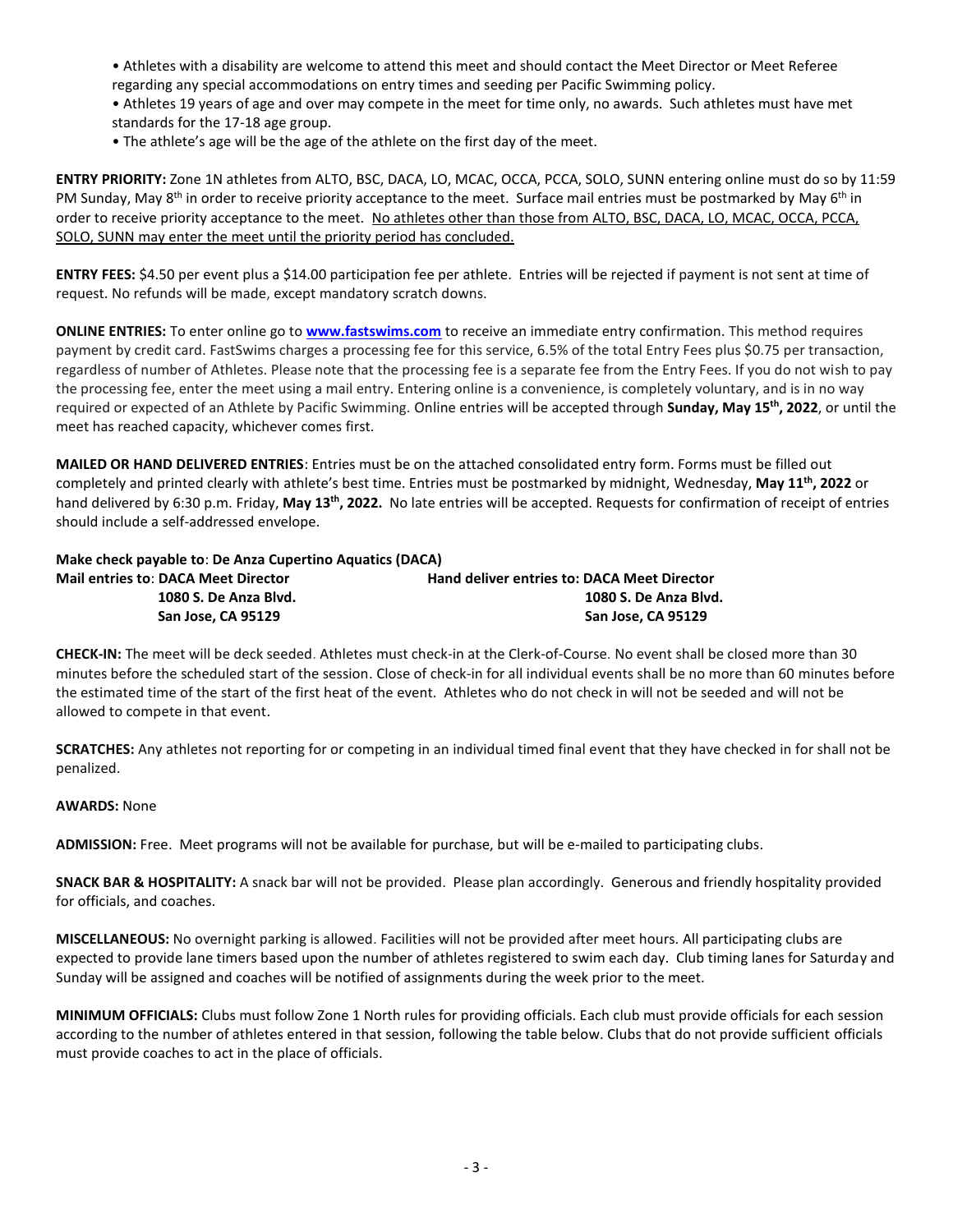- Athletes with a disability are welcome to attend this meet and should contact the Meet Director or Meet Referee regarding any special accommodations on entry times and seeding per Pacific Swimming policy. • Athletes 19 years of age and over may compete in the meet for time only, no awards. Such athletes must have met standards for the 17-18 age group.
- The athlete's age will be the age of the athlete on the first day of the meet.

**ENTRY PRIORITY:** Zone 1N athletes from ALTO, BSC, DACA, LO, MCAC, OCCA, PCCA, SOLO, SUNN entering online must do so by 11:59 PM Sunday, May 8<sup>th</sup> in order to receive priority acceptance to the meet. Surface mail entries must be postmarked by May 6<sup>th</sup> in order to receive priority acceptance to the meet. No athletes other than those from ALTO, BSC, DACA, LO, MCAC, OCCA, PCCA, SOLO, SUNN may enter the meet until the priority period has concluded.

**ENTRY FEES:** \$4.50 per event plus a \$14.00 participation fee per athlete. Entries will be rejected if payment is not sent at time of request. No refunds will be made, except mandatory scratch downs.

**ONLINE ENTRIES:** To enter online go to **[www.fastswims.com](http://www.fastswims.com/)** to receive an immediate entry confirmation. This method requires payment by credit card. FastSwims charges a processing fee for this service, 6.5% of the total Entry Fees plus \$0.75 per transaction, regardless of number of Athletes. Please note that the processing fee is a separate fee from the Entry Fees. If you do not wish to pay the processing fee, enter the meet using a mail entry. Entering online is a convenience, is completely voluntary, and is in no way required or expected of an Athlete by Pacific Swimming. Online entries will be accepted through **Sunday, May 15 th, 2022**, or until the meet has reached capacity, whichever comes first.

**MAILED OR HAND DELIVERED ENTRIES**: Entries must be on the attached consolidated entry form. Forms must be filled out completely and printed clearly with athlete's best time. Entries must be postmarked by midnight, Wednesday, **May 11 th , 2022** or hand delivered by 6:30 p.m. Friday, May 13<sup>th</sup>, 2022. No late entries will be accepted. Requests for confirmation of receipt of entries should include a self-addressed envelope.

| Make check payable to: De Anza Cupertino Aquatics (DACA) |                                                    |  |  |  |  |  |  |
|----------------------------------------------------------|----------------------------------------------------|--|--|--|--|--|--|
| <b>Mail entries to: DACA Meet Director</b>               | <b>Hand deliver entries to: DACA Meet Director</b> |  |  |  |  |  |  |
| 1080 S. De Anza Blvd.                                    | 1080 S. De Anza Blvd.                              |  |  |  |  |  |  |
| San Jose. CA 95129                                       | San Jose. CA 95129                                 |  |  |  |  |  |  |

**CHECK-IN:** The meet will be deck seeded. Athletes must check-in at the Clerk-of-Course. No event shall be closed more than 30 minutes before the scheduled start of the session. Close of check-in for all individual events shall be no more than 60 minutes before the estimated time of the start of the first heat of the event. Athletes who do not check in will not be seeded and will not be allowed to compete in that event.

**SCRATCHES:** Any athletes not reporting for or competing in an individual timed final event that they have checked in for shall not be penalized.

## **AWARDS:** None

**ADMISSION:** Free. Meet programs will not be available for purchase, but will be e-mailed to participating clubs.

**SNACK BAR & HOSPITALITY:** A snack bar will not be provided. Please plan accordingly. Generous and friendly hospitality provided for officials, and coaches.

**MISCELLANEOUS:** No overnight parking is allowed. Facilities will not be provided after meet hours. All participating clubs are expected to provide lane timers based upon the number of athletes registered to swim each day. Club timing lanes for Saturday and Sunday will be assigned and coaches will be notified of assignments during the week prior to the meet.

**MINIMUM OFFICIALS:** Clubs must follow Zone 1 North rules for providing officials. Each club must provide officials for each session according to the number of athletes entered in that session, following the table below. Clubs that do not provide sufficient officials must provide coaches to act in the place of officials.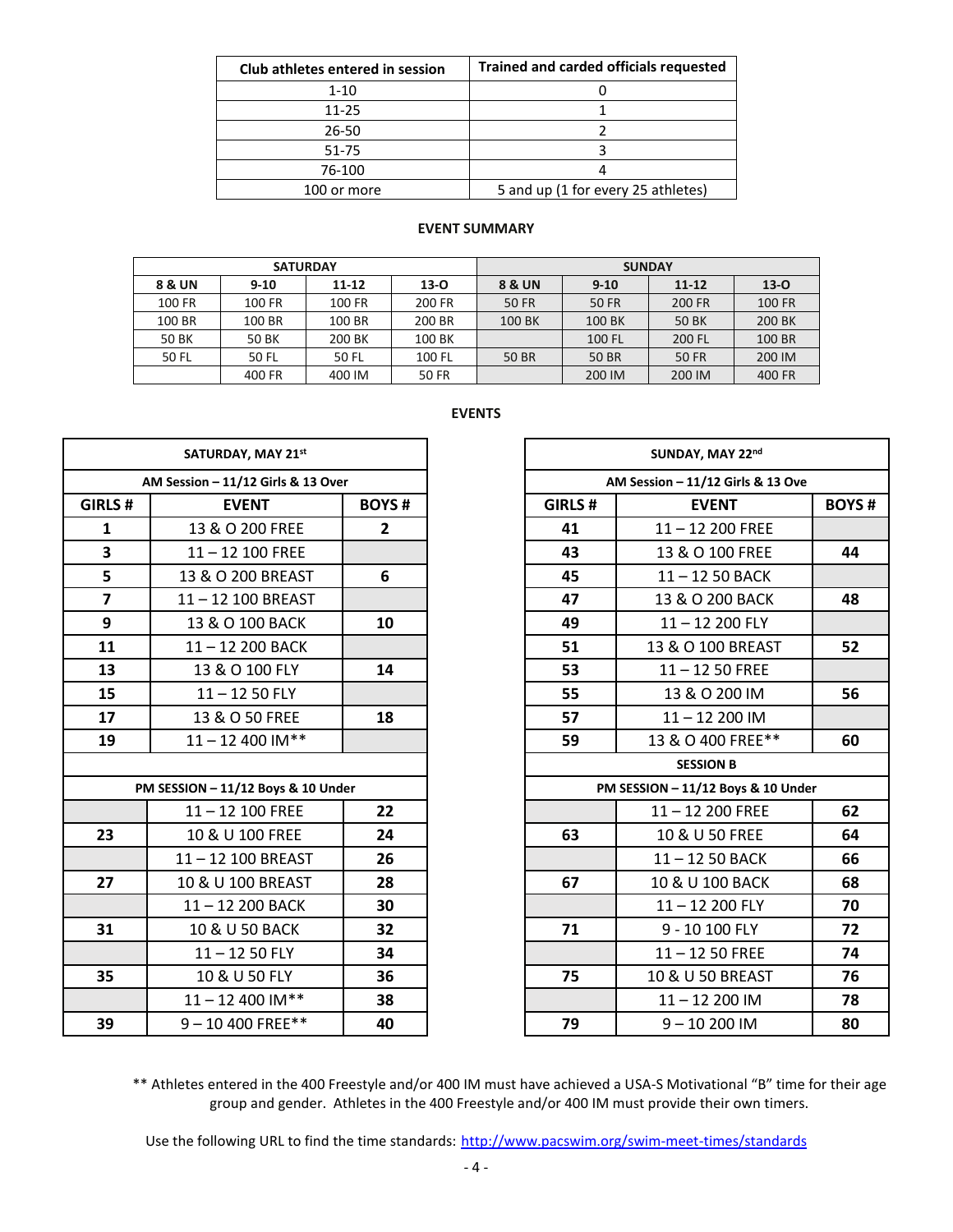| Club athletes entered in session | <b>Trained and carded officials requested</b> |  |  |  |  |
|----------------------------------|-----------------------------------------------|--|--|--|--|
| $1 - 10$                         |                                               |  |  |  |  |
| 11-25                            |                                               |  |  |  |  |
| 26-50                            |                                               |  |  |  |  |
| 51-75                            |                                               |  |  |  |  |
| 76-100                           |                                               |  |  |  |  |
| 100 or more                      | 5 and up (1 for every 25 athletes)            |  |  |  |  |

### **EVENT SUMMARY**

|        | <b>SATURDAY</b> |           |              | <b>SUNDAY</b> |              |              |          |  |  |
|--------|-----------------|-----------|--------------|---------------|--------------|--------------|----------|--|--|
| 8 & UN | $9 - 10$        | $11 - 12$ | $13 - 0$     |               | $9 - 10$     | $11 - 12$    | $13 - 0$ |  |  |
| 100 FR | 100 FR          | 100 FR    | 200 FR       | <b>50 FR</b>  | <b>50 FR</b> | 200 FR       | 100 FR   |  |  |
| 100 BR | 100 BR          | 100 BR    | 200 BR       | 100 BK        | 100 BK       | 50 BK        | 200 BK   |  |  |
| 50 BK  | 50 BK           | 200 BK    | 100 BK       |               | 100 FL       | 200 FL       | 100 BR   |  |  |
| 50 FL  | 50 FL           | 50 FL     | 100 FL       | <b>50 BR</b>  | <b>50 BR</b> | <b>50 FR</b> | 200 IM   |  |  |
|        | 400 FR          | 400 IM    | <b>50 FR</b> |               | 200 IM       | 200 IM       | 400 FR   |  |  |

### **EVENTS**

|                         | SATURDAY, MAY 21st                 |              |         | SUNDAY, MAY 22nd                   |  |  |  |
|-------------------------|------------------------------------|--------------|---------|------------------------------------|--|--|--|
|                         | AM Session - 11/12 Girls & 13 Over |              |         | AM Session - 11/12 Girls & 13 Ove  |  |  |  |
| GIRLS#                  | <b>EVENT</b>                       | <b>BOYS#</b> | GIRLS # | <b>EVENT</b>                       |  |  |  |
| $\mathbf{1}$            | 13 & O 200 FREE                    | $2^{\circ}$  | 41      | $11 - 12200$ FREE                  |  |  |  |
| $\overline{\mathbf{3}}$ | $11 - 12$ 100 FREE                 |              | 43      | 13 & O 100 FREE                    |  |  |  |
| 5                       | 13 & O 200 BREAST                  | 6            | 45      | $11 - 1250$ BACK                   |  |  |  |
| $\overline{\mathbf{z}}$ | 11-12 100 BREAST                   |              | 47      | 13 & O 200 BACK                    |  |  |  |
| 9                       | 13 & O 100 BACK                    | 10           | 49      | $11 - 12200$ FLY                   |  |  |  |
| 11                      | 11-12 200 BACK                     |              | 51      | 13 & O 100 BREAST                  |  |  |  |
| 13                      | 13 & O 100 FLY                     | 14           | 53      | $11 - 1250$ FREE                   |  |  |  |
| 15                      | $11 - 1250$ FLY                    |              | 55      | 13 & O 200 IM                      |  |  |  |
| 17                      | 13 & O 50 FREE                     | 18           | 57      | 11-12 200 IM                       |  |  |  |
| 19                      | $11 - 12$ 400 IM**                 |              | 59      | 13 & O 400 FREE**                  |  |  |  |
|                         |                                    |              |         | <b>SESSION B</b>                   |  |  |  |
|                         | PM SESSION - 11/12 Boys & 10 Under |              |         | PM SESSION - 11/12 Boys & 10 Under |  |  |  |
|                         | $11 - 12$ 100 FREE                 | 22           |         | $11 - 12200$ FREE                  |  |  |  |
| 23                      | 10 & U 100 FREE                    | 24           | 63      | 10 & U 50 FREE                     |  |  |  |
|                         | 11-12 100 BREAST                   | 26           |         | 11-12 50 BACK                      |  |  |  |
| 27                      | 10 & U 100 BREAST                  | 28           | 67      | 10 & U 100 BACK                    |  |  |  |
|                         | 11-12 200 BACK                     | 30           |         | $11 - 12$ 200 FLY                  |  |  |  |
| 31                      | 10 & U 50 BACK                     | 32           | 71      | 9 - 10 100 FLY                     |  |  |  |
|                         | $11 - 1250$ FLY                    | 34           |         | $11 - 1250$ FREE                   |  |  |  |
| 35                      | 10 & U 50 FLY                      | 36           | 75      | 10 & U 50 BREAST                   |  |  |  |
|                         | $11 - 12$ 400 IM**                 | 38           |         | $11 - 12200$ IM                    |  |  |  |
| 39                      | 9-10 400 FREE**                    | 40           | 79      | $9 - 10200$ IM                     |  |  |  |

|                         | SATURDAY, MAY 21st                 |                |                | SUNDAY, MAY 22nd                   |              |  |
|-------------------------|------------------------------------|----------------|----------------|------------------------------------|--------------|--|
|                         | AM Session - 11/12 Girls & 13 Over |                |                | AM Session - 11/12 Girls & 13 Ove  |              |  |
| GIRLS#                  | <b>BOYS#</b><br><b>EVENT</b>       |                | <b>GIRLS #</b> | <b>EVENT</b>                       | <b>BOYS#</b> |  |
| $\mathbf{1}$            | 13 & O 200 FREE                    | $\overline{2}$ | 41             | $11 - 12200$ FREE                  |              |  |
| $\overline{\mathbf{3}}$ | $11 - 12$ 100 FREE                 |                | 43             | 13 & O 100 FREE                    | 44           |  |
| 5                       | 13 & O 200 BREAST                  | 6              | 45             | 11-12 50 BACK                      |              |  |
| $\overline{\mathbf{z}}$ | 11-12 100 BREAST                   |                | 47             | 13 & O 200 BACK                    | 48           |  |
| 9                       | 13 & O 100 BACK                    | 10             | 49             | 11-12 200 FLY                      |              |  |
| 11                      | 11-12 200 BACK                     |                | 51             | 13 & O 100 BREAST                  | 52           |  |
| 13                      | 13 & O 100 FLY                     | 14             | 53             | $11 - 1250$ FREE                   |              |  |
| 15                      | $11 - 1250$ FLY                    |                | 55             | 13 & O 200 IM                      | 56           |  |
| 17                      | 13 & O 50 FREE                     | 18             | 57             | $11 - 12200$ IM                    |              |  |
| 19                      | $11 - 12$ 400 IM**                 |                | 59             | 13 & O 400 FREE**                  | 60           |  |
|                         |                                    |                |                | <b>SESSION B</b>                   |              |  |
|                         | PM SESSION - 11/12 Boys & 10 Under |                |                | PM SESSION - 11/12 Boys & 10 Under |              |  |
|                         | $11 - 12$ 100 FREE                 | 22             |                | $11 - 12$ 200 FREE                 | 62           |  |
| 23                      | 10 & U 100 FREE                    | 24             | 63             | 10 & U 50 FREE                     | 64           |  |
|                         | 11-12 100 BREAST                   | 26             |                | $11 - 1250$ BACK                   | 66           |  |
| 27                      | 10 & U 100 BREAST                  | 28             | 67             | 10 & U 100 BACK                    | 68           |  |
|                         | 11-12 200 BACK                     | 30             |                | $11 - 12200$ FLY                   | 70           |  |
| 31                      | 10 & U 50 BACK                     | 32             | 71             | 9 - 10 100 FLY                     | 72           |  |
|                         | $11 - 1250$ FLY                    | 34             |                | $11 - 1250$ FREE                   | 74           |  |
| 35                      | 10 & U 50 FLY                      | 36             | 75             | 10 & U 50 BREAST                   | 76           |  |
|                         | $11 - 12$ 400 IM**                 | 38             |                | $11 - 12200$ IM                    | 78           |  |
| 39                      | 9-10 400 FREE**                    | 40             | 79             | $9 - 10200$ IM                     | 80           |  |

\*\* Athletes entered in the 400 Freestyle and/or 400 IM must have achieved a USA-S Motivational "B" time for their age group and gender. Athletes in the 400 Freestyle and/or 400 IM must provide their own timers.

Use the following URL to find the time standards: <http://www.pacswim.org/swim-meet-times/standards>